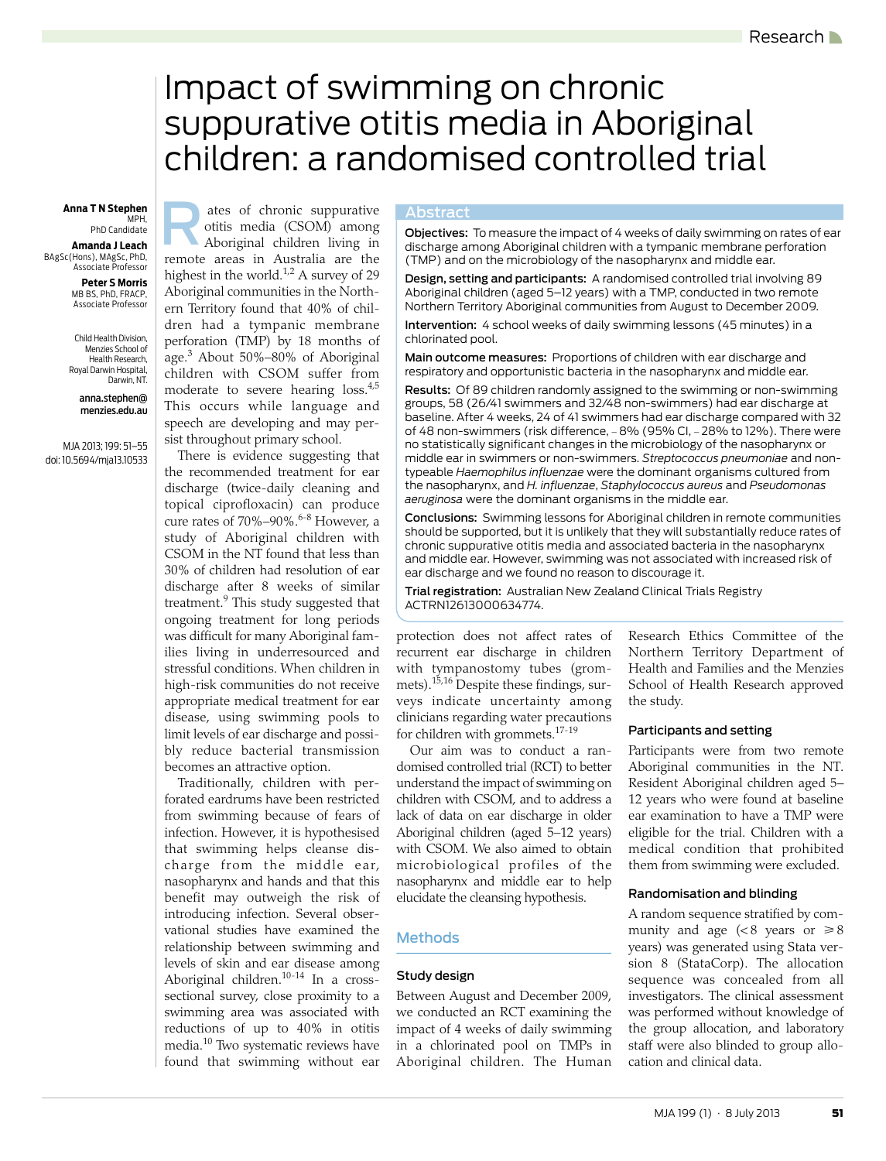# <span id="page-0-0"></span>Impact of swimming on chronic suppurative otitis media in Aboriginal children: a randomised controlled trial

# MPH,

PhD Candidate **Amanda J Leach** BAgSc(Hons), MAgSc, PhD, Associate Professor

> **Peter S Morris** MB BS, PhD, FRACP, Associate Professor

Child Health Division, Menzies School of Health Research, Royal Darwin Hospital, Darwin, NT.

> anna.stephen@ menzies.edu.au

MJA 2013; 199: [51](#page-0-0)[–55](#page-4-0) doi: 10.5694/mja13.10533

Anna T N Stephen **Anna T N Stephen Abstract** otitis media (CSOM) among Aboriginal children living in remote areas in Australia are the highest in the world.<sup>[1](#page-4-1),[2](#page-4-2)</sup> A survey of 29 Aboriginal communities in the Northern Territory found that 40% of children had a tympanic membrane perforation (TMP) by 18 months of age.[3](#page-4-3) About 50%–80% of Aboriginal children with CSOM suffer from moderate to severe hearing loss.<sup>4,[5](#page-4-5)</sup> This occurs while language and speech are developing and may persist throughout primary school.

There is evidence suggesting that the recommended treatment for ear discharge (twice-daily cleaning and topical ciprofloxacin) can produce cure rates of 70%–90%.<sup>6[-8](#page-4-7)</sup> However, a study of Aboriginal children with CSOM in the NT found that less than 30% of children had resolution of ear discharge after 8 weeks of similar treatment.<sup>[9](#page-4-8)</sup> This study suggested that ongoing treatment for long periods was difficult for many Aboriginal families living in underresourced and stressful conditions. When children in high-risk communities do not receive appropriate medical treatment for ear disease, using swimming pools to limit levels of ear discharge and possibly reduce bacterial transmission becomes an attractive option.

 $\vert$  relationship between swimming and levels of sk[in](#page-4-0) and ear disease among Aboriginal children. $10-14$  $10-14$  In a crosswhere  $\frac{m}{\epsilon}$ Traditionally, children with perforated eardrums have been restricted from swimming because of fears of infection. However, it is hypothesised that swimming helps cleanse discharge from the middle ear, nasopharynx and hands and that this benefit may outweigh the risk of introducing infection. Several observational studies have examined the sectional survey, close proximity to a swimming area was associated with reductions of up to 40% in otitis media[.10](#page-4-9) Two systematic reviews have found that swimming without ear

ates of chronic suppurative<br>
objectives: To measure the impact of 4 weeks of daily swimming on rates of ear<br>
Aboriginal children living in<br>
discharge among Aboriginal children with a tympanic membrane perforation (TMP) and on the microbiology of the nasopharynx and middle ear.

> Design, setting and participants: A randomised controlled trial involving 89 Aboriginal children (aged 5–12 years) with a TMP, conducted in two remote Northern Territory Aboriginal communities from August to December 2009.

Intervention: 4 school weeks of daily swimming lessons (45 minutes) in a chlorinated pool.

Main outcome measures: Proportions of children with ear discharge and respiratory and opportunistic bacteria in the nasopharynx and middle ear.

Results: Of 89 children randomly assigned to the swimming or non-swimming groups, 58 (26/41 swimmers and 32/48 non-swimmers) had ear discharge at baseline. After 4 weeks, 24 of 41 swimmers had ear discharge compared with 32 of 48 non-swimmers (risk difference, - 8% (95% CI, - 28% to 12%). There were no statistically significant changes in the microbiology of the nasopharynx or middle ear in swimmers or non-swimmers. *Streptococcus pneumoniae* and nontypeable *Haemophilus influenzae* were the dominant organisms cultured from the nasopharynx, and *H. influenzae*, *Staphylococcus aureus* and *Pseudomonas aeruginosa* were the dominant organisms in the middle ear.

Conclusions: Swimming lessons for Aboriginal children in remote communities should be supported, but it is unlikely that they will substantially reduce rates of chronic suppurative otitis media and associated bacteria in the nasopharynx and middle ear. However, swimming was not associated with increased risk of ear discharge and we found no reason to discourage it.

Trial registration: Australian New Zealand Clinical Trials Registry ACTRN12613000634774.

protection does not affect rates of recurrent ear discharge in children with tympanostomy tubes (grommets).[15](#page-4-11)[,16](#page-4-12) Despite these findings, surveys indicate uncertainty among clinicians regarding water precautions for children with grommets.[17](#page-4-13)[-19](#page-4-14)

Our aim was to conduct a randomised controlled trial (RCT) to better understand the impact of swimming on children with CSOM, and to address a lack of data on ear discharge in older Aboriginal children (aged 5–12 years) with CSOM. We also aimed to obtain microbiological profiles of the nasopharynx and middle ear to help elucidate the cleansing hypothesis.

# Methods

#### Study design

Between August and December 2009, we conducted an RCT examining the impact of 4 weeks of daily swimming in a chlorinated pool on TMPs in Aboriginal children. The Human

Research Ethics Committee of the Northern Territory Department of Health and Families and the Menzies School of Health Research approved the study.

#### Participants and setting

Participants were from two remote Aboriginal communities in the NT. Resident Aboriginal children aged 5– 12 years who were found at baseline ear examination to have a TMP were eligible for the trial. Children with a medical condition that prohibited them from swimming were excluded.

#### Randomisation and blinding

A random sequence stratified by community and age ( $< 8$  years or  $\geq 8$ years) was generated using Stata version 8 (StataCorp). The allocation sequence was concealed from all investigators. The clinical assessment was performed without knowledge of the group allocation, and laboratory staff were also blinded to group allocation and clinical data.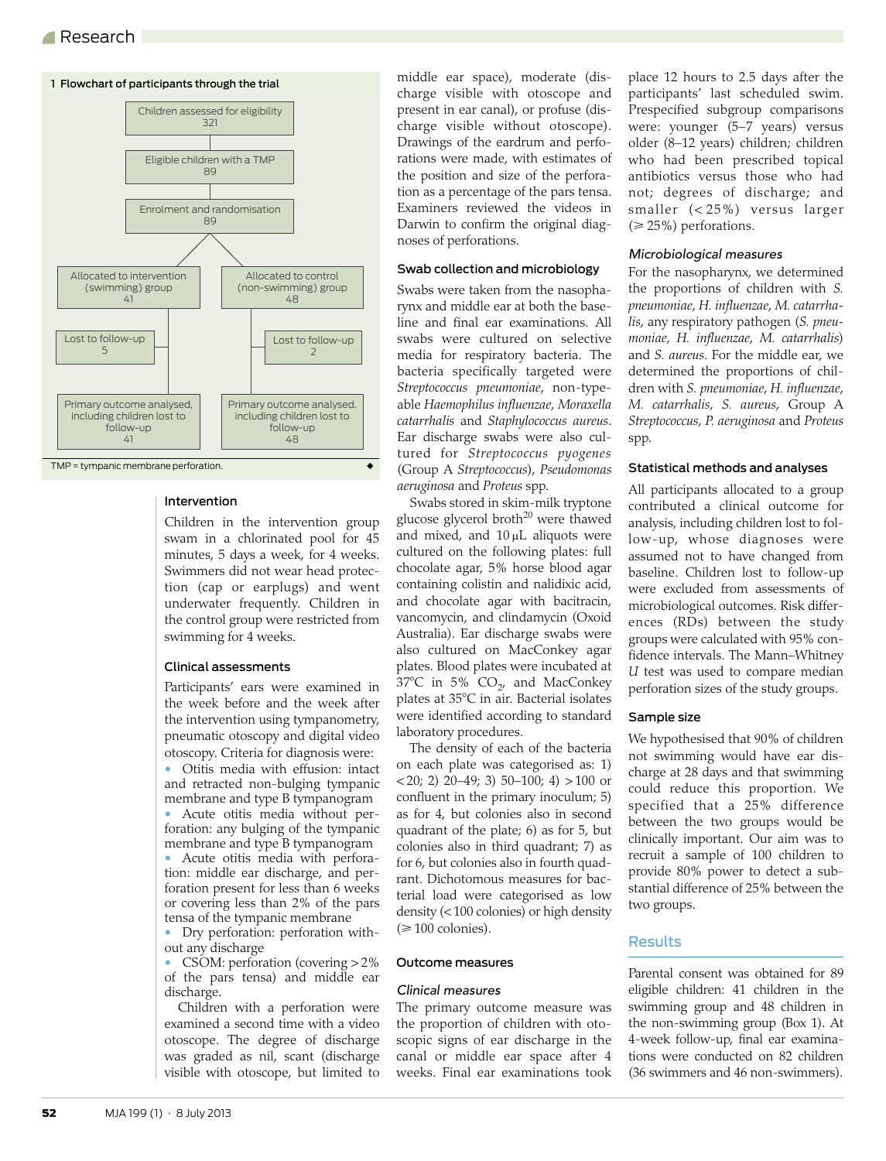## A Research



#### Intervention

Children in the intervention group swam in a chlorinated pool for 45 minutes, 5 days a week, for 4 weeks. Swimmers did not wear head protection (cap or earplugs) and went underwater frequently. Children in the control group were restricted from swimming for 4 weeks.

#### Clinical assessments

Participants' ears were examined in the week before and the week after the intervention using tympanometry, pneumatic otoscopy and digital video otoscopy. Criteria for diagnosis were:

• Otitis media with effusion: intact and retracted non-bulging tympanic membrane and type B tympanogram

• Acute otitis media without perforation: any bulging of the tympanic membrane and type B tympanogram • Acute otitis media with perforation: middle ear discharge, and perforation present for less than 6 weeks or covering less than 2% of the pars tensa of the tympanic membrane

• Dry perforation: perforation without any discharge

• CSOM: perforation (covering > 2% of the pars tensa) and middle ear discharge.

Children with a perforation were examined a second time with a video otoscope. The degree of discharge was graded as nil, scant (discharge visible with otoscope, but limited to

middle ear space), moderate (discharge visible with otoscope and present in ear canal), or profuse (discharge visible without otoscope). Drawings of the eardrum and perforations were made, with estimates of the position and size of the perforation as a percentage of the pars tensa. Examiners reviewed the videos in Darwin to confirm the original diagnoses of perforations.

#### Swab collection and microbiology

Swabs were taken from the nasopharynx and middle ear at both the baseline and final ear examinations. All swabs were cultured on selective media for respiratory bacteria. The bacteria specifically targeted were *Streptococcus pneumoniae*, non-typeable *Haemophilus influenzae*, *Moraxella catarrhalis* and *Staphylococcus aureus*. Ear discharge swabs were also cultured for *Streptococcus pyogenes* (Group A *Streptococcus*), *Pseudomonas aeruginosa* and *Proteus* spp.

Swabs stored in skim-milk tryptone glucose glycerol broth<sup>20</sup> were thawed and mixed, and  $10 \mu L$  aliquots were cultured on the following plates: full chocolate agar, 5% horse blood agar containing colistin and nalidixic acid, and chocolate agar with bacitracin, vancomycin, and clindamycin (Oxoid Australia). Ear discharge swabs were also cultured on MacConkey agar plates. Blood plates were incubated at  $37^{\circ}$ C in 5% CO<sub>2</sub>, and MacConkey plates at 35°C in air. Bacterial isolates were identified according to standard laboratory procedures.

The density of each of the bacteria on each plate was categorised as: 1)  $(20; 2)$  20–49; 3) 50–100; 4) > 100 or confluent in the primary inoculum; 5) as for 4, but colonies also in second quadrant of the plate; 6) as for 5, but colonies also in third quadrant; 7) as for 6, but colonies also in fourth quadrant. Dichotomous measures for bacterial load were categorised as low density (< 100 colonies) or high density  $(\geq 100 \text{ colonies}).$ 

#### Outcome measures

#### Clinical measures

The primary outcome measure was the proportion of children with otoscopic signs of ear discharge in the canal or middle ear space after 4 weeks. Final ear examinations took place 12 hours to 2.5 days after the participants' last scheduled swim. Prespecified subgroup comparisons were: younger (5–7 years) versus older (8–12 years) children; children who had been prescribed topical antibiotics versus those who had not; degrees of discharge; and smaller (< 25%) versus larger  $(\geq 25\%)$  perforations.

#### Microbiological measures

For the nasopharynx, we determined the proportions of children with *S. pneumoniae*, *H. influenzae*, *M. catarrhalis*, any respiratory pathogen (*S. pneumoniae*, *H. influenzae*, *M. catarrhalis*) and *S. aureus*. For the middle ear, we determined the proportions of children with *S. pneumoniae*, *H. influenzae*, *M. catarrhalis*, *S. aureus*, Group A *Streptococcus*, *P. aeruginosa* and *Proteus* spp.

#### Statistical methods and analyses

All participants allocated to a group contributed a clinical outcome for analysis, including children lost to follow-up, whose diagnoses were assumed not to have changed from baseline. Children lost to follow-up were excluded from assessments of microbiological outcomes. Risk differences (RDs) between the study groups were calculated with 95% confidence intervals. The Mann–Whitney *U* test was used to compare median perforation sizes of the study groups.

#### Sample size

We hypothesised that 90% of children not swimming would have ear discharge at 28 days and that swimming could reduce this proportion. We specified that a 25% difference between the two groups would be clinically important. Our aim was to recruit a sample of 100 children to provide 80% power to detect a substantial difference of 25% between the two groups.

#### **Results**

Parental consent was obtained for 89 eligible children: 41 children in the swimming group and 48 children in the non-swimming group (Box 1). At 4-week follow-up, final ear examinations were conducted on 82 children (36 swimmers and 46 non-swimmers).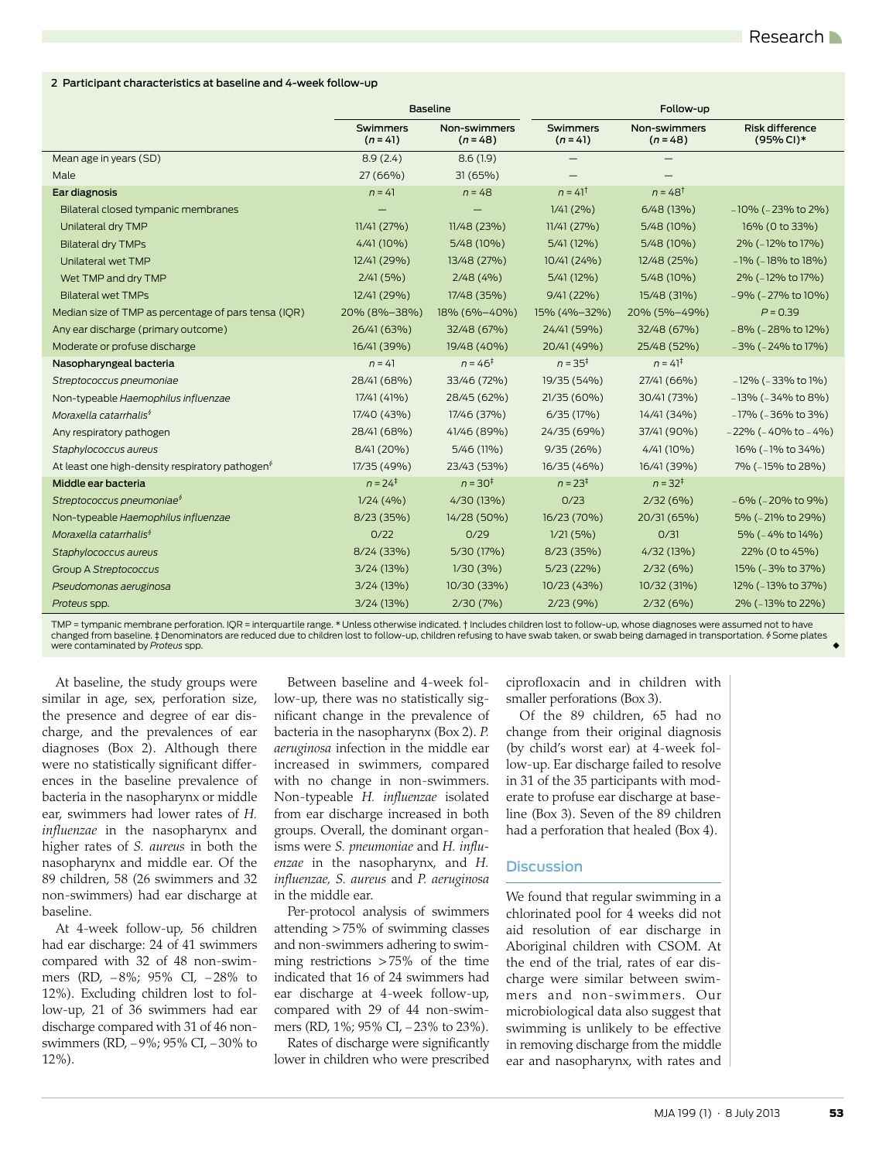#### 2 Participant characteristics at baseline and 4-week follow-up

|                                                             | <b>Baseline</b>        |                            | Follow-up              |                            |                               |
|-------------------------------------------------------------|------------------------|----------------------------|------------------------|----------------------------|-------------------------------|
|                                                             | Swimmers<br>$(n = 41)$ | Non-swimmers<br>$(n = 48)$ | Swimmers<br>$(n = 41)$ | Non-swimmers<br>$(n = 48)$ | Risk difference<br>(95% CI)*  |
| Mean age in years (SD)                                      | 8.9(2.4)               | 8.6(1.9)                   |                        |                            |                               |
| Male                                                        | 27 (66%)               | 31(65%)                    |                        |                            |                               |
| Ear diagnosis                                               | $n = 41$               | $n = 48$                   | $n = 41^{\dagger}$     | $n = 48^{\dagger}$         |                               |
| Bilateral closed tympanic membranes                         |                        |                            | 1/41(2%)               | 6/48 (13%)                 | $-10\%$ ( $-23\%$ to 2%)      |
| Unilateral dry TMP                                          | 11/41(27%)             | 11/48 (23%)                | 11/41(27%)             | 5/48 (10%)                 | 16% (0 to 33%)                |
| <b>Bilateral dry TMPs</b>                                   | 4/41 (10%)             | 5/48 (10%)                 | 5/41 (12%)             | 5/48 (10%)                 | 2% (-12% to 17%)              |
| Unilateral wet TMP                                          | 12/41 (29%)            | 13/48 (27%)                | 10/41 (24%)            | 12/48 (25%)                | $-1\%$ ( $-18\%$ to $18\%$ )  |
| Wet TMP and dry TMP                                         | 2/41(5%)               | 2/48(4%)                   | 5/41 (12%)             | 5/48 (10%)                 | 2% (-12% to 17%)              |
| <b>Bilateral wet TMPs</b>                                   | 12/41 (29%)            | 17/48 (35%)                | $9/41(22\%)$           | 15/48 (31%)                | $-9\%$ ( $-27\%$ to 10%)      |
| Median size of TMP as percentage of pars tensa (IQR)        | 20% (8%-38%)           | 18% (6%-40%)               | 15% (4%-32%)           | 20% (5%-49%)               | $P = 0.39$                    |
| Any ear discharge (primary outcome)                         | 26/41 (63%)            | 32/48 (67%)                | 24/41 (59%)            | 32/48 (67%)                | $-8\%$ ( $-28\%$ to 12%)      |
| Moderate or profuse discharge                               | 16/41 (39%)            | 19/48 (40%)                | 20/41 (49%)            | 25/48 (52%)                | $-3\%$ ( $-24\%$ to 17%)      |
| Nasopharyngeal bacteria                                     | $n = 41$               | $n = 46^{\ddagger}$        | $n = 35^{\ddagger}$    | $n = 41^{\ddagger}$        |                               |
| Streptococcus pneumoniae                                    | 28/41 (68%)            | 33/46 (72%)                | 19/35 (54%)            | 27/41 (66%)                | $-12\%$ ( $-33\%$ to $1\%$ )  |
| Non-typeable Haemophilus influenzae                         | 17/41 (41%)            | 28/45 (62%)                | 21/35 (60%)            | 30/41 (73%)                | $-13\%$ ( $-34\%$ to 8%)      |
| Moraxella catarrhalis <sup>\$</sup>                         | 17/40 (43%)            | 17/46 (37%)                | 6/35(17%)              | 14/41 (34%)                | $-17\%$ ( $-36\%$ to 3%)      |
| Any respiratory pathogen                                    | 28/41 (68%)            | 41/46 (89%)                | 24/35 (69%)            | 37/41 (90%)                | $-22\%$ ( $-40\%$ to $-4\%$ ) |
| Staphylococcus aureus                                       | 8/41 (20%)             | 5/46 (11%)                 | 9/35(26%)              | $4/41(10\%)$               | 16% (-1% to 34%)              |
| At least one high-density respiratory pathogen <sup>9</sup> | 17/35 (49%)            | 23/43 (53%)                | 16/35 (46%)            | 16/41 (39%)                | 7% (-15% to 28%)              |
| Middle ear bacteria                                         | $n = 24^{\ddagger}$    | $n = 30^+$                 | $n = 23^{\ddagger}$    | $n = 32^{\ddagger}$        |                               |
| Streptococcus pneumoniae <sup>\$</sup>                      | 1/24(4%)               | 4/30 (13%)                 | 0/23                   | 2/32(6%)                   | $-6\%$ ( $-20\%$ to 9%)       |
| Non-typeable Haemophilus influenzae                         | 8/23(35%)              | 14/28 (50%)                | 16/23 (70%)            | 20/31 (65%)                | 5% (-21% to 29%)              |
| Moraxella catarrhalis <sup>\$</sup>                         | 0/22                   | 0/29                       | 1/21(5%)               | 0/31                       | 5% (-4% to 14%)               |
| Staphylococcus aureus                                       | 8/24 (33%)             | 5/30 (17%)                 | 8/23 (35%)             | 4/32 (13%)                 | 22% (0 to 45%)                |
| <b>Group A Streptococcus</b>                                | 3/24 (13%)             | 1/30(3%)                   | 5/23(22%)              | 2/32(6%)                   | 15% (-3% to 37%)              |
| Pseudomonas aeruginosa                                      | 3/24 (13%)             | 10/30 (33%)                | 10/23 (43%)            | 10/32 (31%)                | 12% (-13% to 37%)             |
| Proteus spp.                                                | 3/24 (13%)             | $2/30(7\%)$                | 2/23(9%)               | 2/32(6%)                   | 2% (-13% to 22%)              |

TMP = tympanic membrane perforation. IQR = interquartile range. \* Unless otherwise indicated. † Includes children lost to follow-up, whose diagnoses were assumed not to have<br>changed from baseline. ‡Denominators are reduced were contaminated by *Proteus* spp.

At baseline, the study groups were similar in age, sex, perforation size, the presence and degree of ear discharge, and the prevalences of ear diagnoses (Box 2). Although there were no statistically significant differences in the baseline prevalence of bacteria in the nasopharynx or middle ear, swimmers had lower rates of *H. influenzae* in the nasopharynx and higher rates of *S. aureus* in both the nasopharynx and middle ear. Of the 89 children, 58 (26 swimmers and 32 non-swimmers) had ear discharge at baseline.

At 4-week follow-up, 56 children had ear discharge: 24 of 41 swimmers compared with 32 of 48 non-swimmers (RD, 8%; 95% CI, 28% to 12%). Excluding children lost to follow-up, 21 of 36 swimmers had ear discharge compared with 31 of 46 nonswimmers (RD, -9%; 95% CI, -30% to 12%).

Between baseline and 4-week follow-up, there was no statistically significant change in the prevalence of bacteria in the nasopharynx (Box 2). *P. aeruginosa* infection in the middle ear increased in swimmers, compared with no change in non-swimmers. Non-typeable *H. influenzae* isolated from ear discharge increased in both groups. Overall, the dominant organisms were *S. pneumoniae* and *H. influenzae* in the nasopharynx, and *H. influenzae, S. aureus* and *P. aeruginosa* in the middle ear.

Per-protocol analysis of swimmers attending > 75% of swimming classes and non-swimmers adhering to swimming restrictions > 75% of the time indicated that 16 of 24 swimmers had ear discharge at 4-week follow-up, compared with 29 of 44 non-swimmers (RD, 1%; 95% CI, -23% to 23%). Rates of discharge were significantly

lower in children who were prescribed

ciprofloxacin and in children with smaller perforations (Box 3).

Of the 89 children, 65 had no change from their original diagnosis (by child's worst ear) at 4-week follow-up. Ear discharge failed to resolve in 31 of the 35 participants with moderate to profuse ear discharge at baseline (Box 3). Seven of the 89 children had a perforation that healed (Box 4).

#### **Discussion**

We found that regular swimming in a chlorinated pool for 4 weeks did not aid resolution of ear discharge in Aboriginal children with CSOM. At the end of the trial, rates of ear discharge were similar between swimmers and non-swimmers. Our microbiological data also suggest that swimming is unlikely to be effective in removing discharge from the middle ear and nasopharynx, with rates and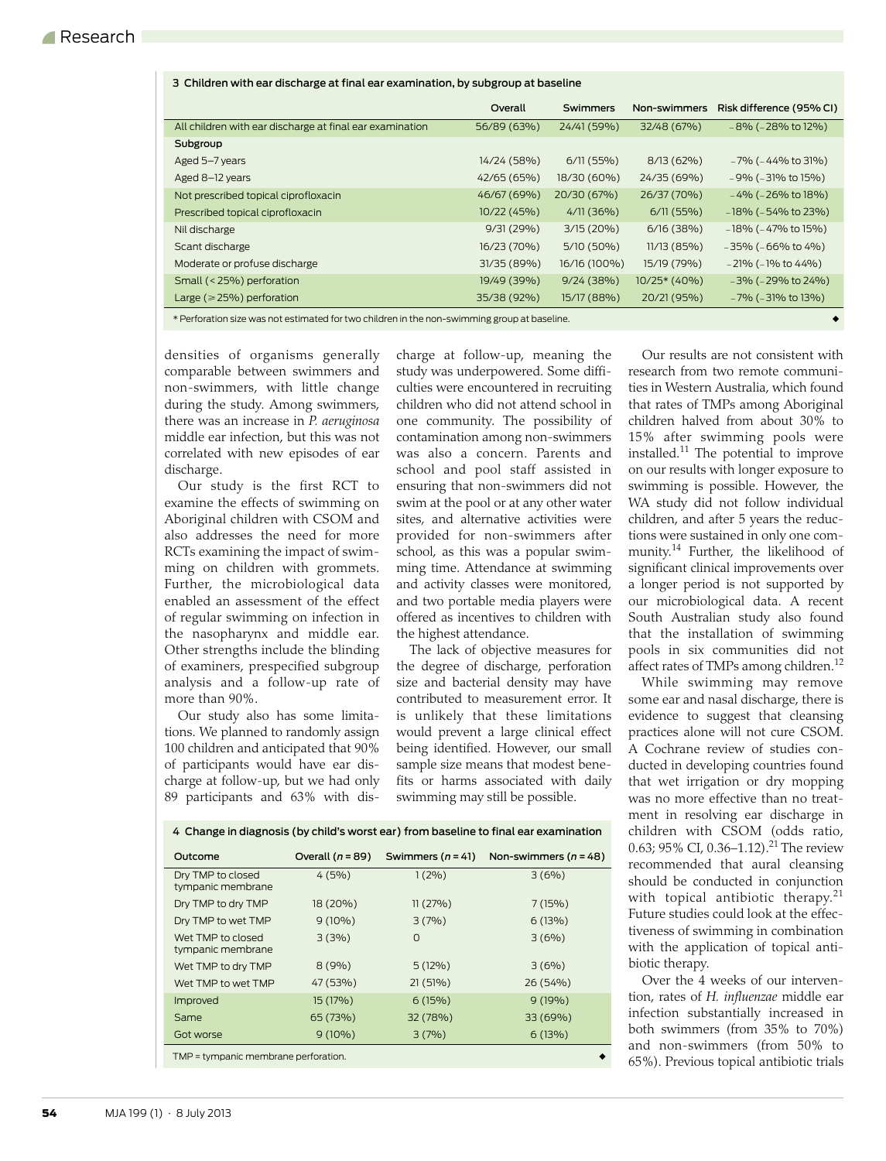| 3 Children with ear discharge at miat ear examination, by subgroup at baseme                              |             |              |              |                           |  |  |
|-----------------------------------------------------------------------------------------------------------|-------------|--------------|--------------|---------------------------|--|--|
|                                                                                                           | Overall     | Swimmers     | Non-swimmers | Risk difference (95% CI)  |  |  |
| All children with ear discharge at final ear examination                                                  | 56/89 (63%) | 24/41 (59%)  | 32/48 (67%)  | $-8\%$ ( $-28\%$ to 12%)  |  |  |
| Subgroup                                                                                                  |             |              |              |                           |  |  |
| Aged 5-7 years                                                                                            | 14/24 (58%) | 6/11(55%)    | $8/13(62\%)$ | $-7\%$ ( $-44\%$ to 31%)  |  |  |
| Aged 8-12 years                                                                                           | 42/65 (65%) | 18/30 (60%)  | 24/35 (69%)  | $-9\%$ ( $-31\%$ to 15%)  |  |  |
| Not prescribed topical ciprofloxacin                                                                      | 46/67 (69%) | 20/30 (67%)  | 26/37 (70%)  | $-4\%$ ( $-26\%$ to 18%)  |  |  |
| Prescribed topical ciprofloxacin                                                                          | 10/22 (45%) | 4/11(36%)    | 6/11(55%)    | $-18\%$ ( $-54\%$ to 23%) |  |  |
| Nil discharge                                                                                             | 9/31(29%)   | 3/15(20%)    | 6/16(38%)    | $-18\%$ ( $-47\%$ to 15%) |  |  |
| Scant discharge                                                                                           | 16/23 (70%) | 5/10 (50%)   | 11/13(85%)   | $-35\%$ ( $-66\%$ to 4%)  |  |  |
| Moderate or profuse discharge                                                                             | 31/35 (89%) | 16/16 (100%) | 15/19 (79%)  | $-21\%$ ( $-1\%$ to 44%)  |  |  |
| Small (< 25%) perforation                                                                                 | 19/49 (39%) | 9/24(38%)    | 10/25* (40%) | $-3\%$ ( $-29\%$ to 24%)  |  |  |
| Large ( $\geq$ 25%) perforation                                                                           | 35/38 (92%) | 15/17 (88%)  | 20/21 (95%)  | $-7\%$ ( $-31\%$ to 13%)  |  |  |
| Vi Doufonation otos mas post potimentosi fontmas oleilulnen in tipo post priimentoje premo ot inpositoje. |             |              |              |                           |  |  |

\* Perforation size was not estimated for two children in the non-swimming group at baseline. ◆

3 Children with ear discharge at final ear examination, by subgroup at baseline

densities of organisms generally comparable between swimmers and non-swimmers, with little change during the study. Among swimmers, there was an increase in *P. aeruginosa* middle ear infection, but this was not correlated with new episodes of ear discharge.

Our study is the first RCT to examine the effects of swimming on Aboriginal children with CSOM and also addresses the need for more RCTs examining the impact of swimming on children with grommets. Further, the microbiological data enabled an assessment of the effect of regular swimming on infection in the nasopharynx and middle ear. Other strengths include the blinding of examiners, prespecified subgroup analysis and a follow-up rate of more than 90%.

Our study also has some limitations. We planned to randomly assign 100 children and anticipated that 90% of participants would have ear discharge at follow-up, but we had only 89 participants and 63% with discharge at follow-up, meaning the study was underpowered. Some difficulties were encountered in recruiting children who did not attend school in one community. The possibility of contamination among non-swimmers was also a concern. Parents and school and pool staff assisted in ensuring that non-swimmers did not swim at the pool or at any other water sites, and alternative activities were provided for non-swimmers after school, as this was a popular swimming time. Attendance at swimming and activity classes were monitored, and two portable media players were offered as incentives to children with the highest attendance.

The lack of objective measures for the degree of discharge, perforation size and bacterial density may have contributed to measurement error. It is unlikely that these limitations would prevent a large clinical effect being identified. However, our small sample size means that modest benefits or harms associated with daily swimming may still be possible.

Our results are not consistent with research from two remote communities in Western Australia, which found that rates of TMPs among Aboriginal children halved from about 30% to 15% after swimming pools were installed.[11](#page-4-16) The potential to improve on our results with longer exposure to swimming is possible. However, the WA study did not follow individual children, and after 5 years the reductions were sustained in only one community[.14](#page-4-10) Further, the likelihood of significant clinical improvements over a longer period is not supported by our microbiological data. A recent South Australian study also found that the installation of swimming pools in six communities did not affect rates of TMPs among children.<sup>[12](#page-4-17)</sup>

While swimming may remove some ear and nasal discharge, there is evidence to suggest that cleansing practices alone will not cure CSOM. A Cochrane review of studies conducted in developing countries found that wet irrigation or dry mopping was no more effective than no treatment in resolving ear discharge in children with CSOM (odds ratio, 0.63; 95% CI, 0.36–1.12).<sup>[21](#page-4-18)</sup> The review recommended that aural cleansing should be conducted in conjunction with topical antibiotic therapy.<sup>[21](#page-4-18)</sup> Future studies could look at the effectiveness of swimming in combination with the application of topical antibiotic therapy.

Over the 4 weeks of our intervention, rates of *H. influenzae* middle ear infection substantially increased in both swimmers (from 35% to 70%) and non-swimmers (from 50% to 65%). Previous topical antibiotic trials

| 4 Change in diagnosis (by child's worst ear) from baseline to final ear examination |  |
|-------------------------------------------------------------------------------------|--|
|-------------------------------------------------------------------------------------|--|

| Outcome                                | Overall $(n = 89)$ | Swimmers $(n = 41)$ | Non-swimmers $(n = 48)$ |  |  |
|----------------------------------------|--------------------|---------------------|-------------------------|--|--|
| Dry TMP to closed<br>tympanic membrane | 4(5%)              | 1(2%)               | 3(6%)                   |  |  |
| Dry TMP to dry TMP                     | 18 (20%)           | 11(27%)             | 7(15%)                  |  |  |
| Dry TMP to wet TMP                     | $9(10\%)$          | 3(7%)               | 6(13%)                  |  |  |
| Wet TMP to closed<br>tympanic membrane | 3(3%)              | $\Omega$            | 3(6%)                   |  |  |
| Wet TMP to dry TMP                     | 8(9%)              | $5(12\%)$           | 3(6%)                   |  |  |
| Wet TMP to wet TMP                     | 47 (53%)           | 21(51%)             | 26 (54%)                |  |  |
| Improved                               | 15 (17%)           | 6(15%)              | 9(19%)                  |  |  |
| Same                                   | 65 (73%)           | 32 (78%)            | 33 (69%)                |  |  |
| Got worse                              | $9(10\%)$          | 3(7%)               | 6(13%)                  |  |  |
| TMP = tympanic membrane perforation.   |                    |                     |                         |  |  |

**54** MJA 199 (1) · 8 July 2013